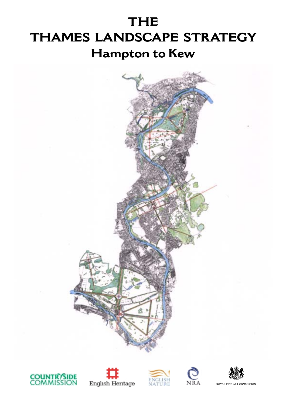# **THE THAMES LANDSCAPE STRATEGY Hampton to Kew**











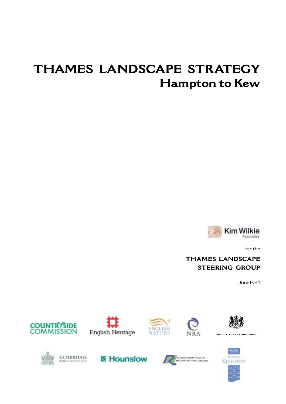# **THAMES LANDSCAPE STRATEGY Hampton to Kew**



for the

# **THAMES LANDSCAPE STEERING GROUP**

June1994











**ROYAL FINE ART COMMISSION**







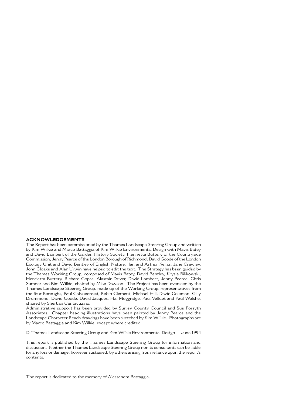#### **ACKNOWLEDGEMENTS**

The Report has been commissioned by the Thames Landscape Steering Group and written by Kim Wilkie and Marco Battaggia of Kim Wilkie Environmental Design with Mavis Batey and David Lambert of the Garden History Society, Henrietta Buttery of the Countryside Commission, Jenny Pearce of the London Borough of Richmond, David Goode of the London Ecology Unit and David Bentley of English Nature. Ian and Arthur Kellas, Jane Crawley, John Cloake and Alan Urwin have helped to edit the text. The Strategy has been guided by the Thames Working Group, composed of Mavis Batey, David Bentley, Krysia Bilikowski, Henrietta Buttery, Richard Copas, Alastair Driver, David Lambert, Jenny Pearce, Chris Sumner and Kim Wilkie, chaired by Mike Dawson. The Project has been overseen by the Thames Landscape Steering Group, made up of the Working Group, representatives from the four Boroughs, Paul Calvocoressi, Robin Clement, Michael Hill, David Coleman, Gilly Drummond, David Goode, David Jacques, Hal Moggridge, Paul Velluet and Paul Walshe, chaired by Sherban Cantacuzino.

Administrative support has been provided by Surrey County Council and Sue Forsyth Associates. Chapter heading illustrations have been painted by Jenny Pearce and the Landscape Character Reach drawings have been sketched by Kim Wilkie. Photographs are by Marco Battaggia and Kim Wilkie, except where credited.

© Thames Landscape Steering Group and Kim Wilkie Environmental Design June 1994

This report is published by the Thames Landscape Steering Group for information and discussion. Neither the Thames Landscape Steering Group nor its consultants can be liable for any loss or damage, however sustained, by others arising from reliance upon the report's contents.

The report is dedicated to the memory of Alessandra Battaggia.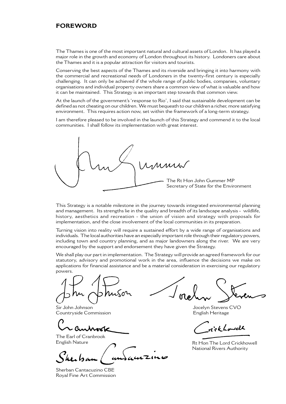## **FOREWORD**

The Thames is one of the most important natural and cultural assets of London. It has played a major role in the growth and economy of London throughout its history. Londoners care about the Thames and it is a popular attraction for visitors and tourists.

Conserving the best aspects of the Thames and its riverside and bringing it into harmony with the commercial and recreational needs of Londoners in the twenty-first century is especially challenging. It can only be achieved if the whole range of public bodies, companies, voluntary organisations and individual property owners share a common view of what is valuable and how it can be maintained. This Strategy is an important step towards that common view.

At the launch of the government's 'response to Rio', I said that sustainable development can be defined as not cheating on our children. We must bequeath to our children a richer, more satisfying environment. This requires action now, set within the framework of a long-term strategy.

I am therefore pleased to be involved in the launch of this Strategy and commend it to the local communities. I shall follow its implementation with great interest.

MMM The Rt Hon John Gummer MP Secretary of State for the Environment

This Strategy is a notable milestone in the journey towards integrated environmental planning and management. Its strengths lie in the quality and breadth of its landscape analysis - wildlife, history, aesthetics and recreation - the union of vision and strategy with proposals for implementation, and the close involvement of the local communities in its preparation.

Turning vision into reality will require a sustained effort by a wide range of organisations and individuals. The local authorities have an especially important role through their regulatory powers, including town and country planning, and as major landowners along the river. We are very encouraged by the support and endorsement they have given the Strategy.

We shall play our part in implementation. The Strategy will provide an agreed framework for our statutory, advisory and promotional work in the area, influence the decisions we make on applications for financial assistance and be a material consideration in exercising our regulatory powers.

Sir John Johnson Countryside Commission

The Earl of Cranbrook

Sherban Cantacuzino CBE Royal Fine Art Commission

Jocelyn Stevens CVO English Heritage

rick Lowell

English Nature **Calculation** Rt Hon The Lord Crickhowell National Rivers Authority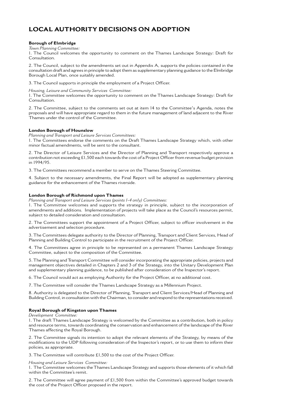# **LOCAL AUTHORITY DECISIONS ON ADOPTION**

### **Borough of Elmbridge**

*Town Planning Committee:*

1. The Council welcomes the opportunity to comment on the Thames Landscape Strategy: Draft for Consultation.

2. The Council, subject to the amendments set out in Appendix A, supports the policies contained in the consultation draft and agrees in principle to adopt them as supplementary planning guidance to the Elmbridge Borough Local Plan, once suitably amended.

3. The Council supports in principle the employment of a Project Officer.

*Housing, Leisure and Community Services Committee:*

1. The Committee welcomes the opportunity to comment on the Thames Landscape Strategy: Draft for Consultation.

2. The Committee, subject to the comments set out at item 14 to the Committee's Agenda, notes the proposals and will have appropriate regard to them in the future management of land adjacent to the River Thames under the control of the Committee.

### **London Borough of Hounslow**

*Planning and Transport and Leisure Services Committees:*

1. The Committees endorse the comments on the Draft Thames Landscape Strategy which, with other minor factual amendments, will be sent to the consultant.

2. The Director of Leisure Services and the Director of Planning and Transport respectively approve a contribution not exceeding £1,500 each towards the cost of a Project Officer from revenue budget provision in 1994/95.

3. The Committees recommend a member to serve on the Thames Steering Committee.

4. Subject to the necessary amendments, the Final Report will be adopted as supplementary planning guidance for the enhancement of the Thames riverside.

#### **London Borough of Richmond upon Thames**

*Planning and Transport and Leisure Services (points 1-4 only) Committees:*

1. The Committee welcomes and supports the strategy in principle, subject to the incorporation of amendments and additions. Implementation of projects will take place as the Council's resources permit, subject to detailed consideration and consultation.

2. The Committees support the appointment of a Project Officer, subject to officer involvement in the advertisement and selection procedure.

3. The Committees delegate authority to the Director of Planning, Transport and Client Services, Head of Planning and Building Control to participate in the recruitment of the Project Officer.

4. The Committees agree in principle to be represented on a permanent Thames Landscape Strategy Committee, subject to the composition of the Committee.

5. The Planning and Transport Committee will consider incorporating the appropriate policies, projects and management objectives detailed in Chapters 2 and 3 of the Strategy, into the Unitary Development Plan and supplementary planning guidance, to be published after consideration of the Inspector's report.

6. The Council would act as employing Authority for the Project Officer, at no additional cost.

7. The Committee will consider the Thames Landscape Strategy as a Millennium Project.

8. Authority is delegated to the Director of Planning, Transport and Client Services/Head of Planning and Building Control, in consultation with the Chairman, to consider and respond to the representations received.

#### **Royal Borough of Kingston upon Thames**

*Development Committee:*

1. The draft Thames Landscape Strategy is welcomed by the Committee as a contribution, both in policy and resource terms, towards coordinating the conservation and enhancement of the landscape of the River Thames affecting the Royal Borough.

2. The Committee signals its intention to adopt the relevant elements of the Strategy, by means of the modifications to the UDP following consideration of the Inspector's report, or to use them to inform their policies, as appropriate.

3. The Committee will contribute £1,500 to the cost of the Project Officer.

*Housing and Leisure Services Committee:*

1. The Committee welcomes the Thames Landscape Strategy and supports those elements of it which fall within the Committee's remit.

2. The Committee will agree payment of £1,500 from within the Committee's approved budget towards the cost of the Project Officer proposed in the report.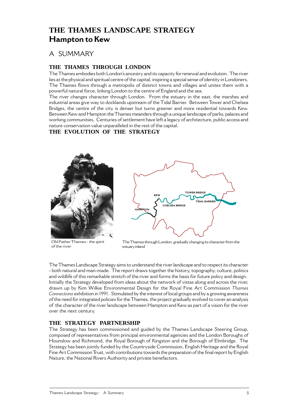# **THE THAMES LANDSCAPE STRATEGY Hampton to Kew**

# A SUMMARY

# **THE THAMES THROUGH LONDON**

The Thames embodies both London's ancestry and its capacity for renewal and evolution. The river lies at the physical and spiritual centre of the capital, inspiring a special sense of identity in Londoners. The Thames flows through a metropolis of distinct towns and villages and unites them with a powerful natural force, linking London to the centre of England and the sea.

The river changes character through London. From the estuary in the east, the marshes and industrial areas give way to docklands upstream of the Tidal Barrier. Between Tower and Chelsea Bridges, the centre of the city is denser but turns greener and more residential towards Kew. Between Kew and Hampton the Thames meanders through a unique landscape of parks, palaces and working communities. Centuries of settlement have left a legacy of architecture, public access and nature conservation value unparalleled in the rest of the capital.

# **THE EVOLUTION OF THE STRATEGY**



Old Father Thames - the spirit of the river



The Thames through London, gradually changing its character from the estuary inland

The Thames Landscape Strategy aims to understand the river landscape and to respect its character - both natural and man-made. The report draws together the history, topography, culture, politics and wildlife of this remarkable stretch of the river and forms the basis for future policy and design. Initially the Strategy developed from ideas about the network of vistas along and across the river, drawn up by Kim Wilkie Environmental Design for the Royal Fine Art Commission *Thames Connections* exhibition in 1991. Stimulated by the interest of local groups and by a growing awareness of the need for integrated policies for the Thames, the project gradually evolved to cover an analysis of the character of the river landscape between Hampton and Kew as part of a vision for the river over the next century.

# **THE STRATEGY PARTNERSHIP**

The Strategy has been commissioned and guided by the Thames Landscape Steering Group, composed of representatives from principal environmental agencies and the London Boroughs of Hounslow and Richmond, the Royal Borough of Kingston and the Borough of Elmbridge. The Strategy has been jointly funded by the Countryside Commission, English Heritage and the Royal Fine Art Commission Trust, with contributions towards the preparation of the final report by English Nature, the National Rivers Authority and private benefactors.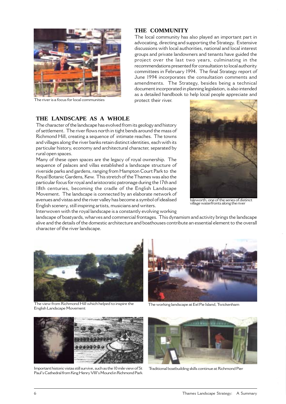

The river is a focus for local communities

## **THE COMMUNITY**

The local community has also played an important part in advocating, directing and supporting the Strategy. Extensive discussions with local authorities, national and local interest groups and private landowners and tenants have guided the project over the last two years, culminating in the recommendations presented for consultation to local authority committees in February 1994. The final Strategy report of June 1994 incorporates the consultation comments and amendments. The Strategy, besides being a technical document incorporated in planning legislation, is also intended as a detailed handbook to help local people appreciate and protect their river.

## **THE LANDSCAPE AS A WHOLE**

The character of the landscape has evolved from its geology and history of settlement. The river flows north in tight bends around the mass of Richmond Hill, creating a sequence of intimate reaches. The towns and villages along the river banks retain distinct identities, each with its particular history, economy and architectural character, separated by rural open spaces.

Many of these open spaces are the legacy of royal ownership. The sequence of palaces and villas established a landscape structure of riverside parks and gardens, ranging from Hampton Court Park to the Royal Botanic Gardens, Kew. This stretch of the Thames was also the particular focus for royal and aristocratic patronage during the 17th and 18th centuries, becoming the cradle of the English Landscape Movement. The landscape is connected by an elaborate network of avenues and vistas and the river valley has become a symbol of idealised English scenery, still inspiring artists, musicians and writers.





Isleworth, one of the series of distinct village waterfronts along the river

landscape of boatyards, wharves and commercial frontages. This dynamism and activity brings the landscape alive and the details of the domestic architecture and boathouses contribute an essential element to the overall character of the river landscape.



The view from Richmond Hill which helped to inspire the The working landscape at Eel Pie Island, Twickenham English Landscape Movement





Important historic vistas still survive, such as the 10 mile view of St Paul's Cathedral from King Henry VIII's Mound in Richmond Park



Traditional boatbuilding skills continue at Richmond Pier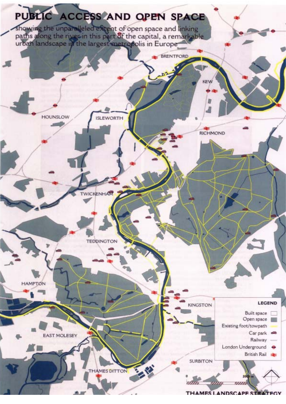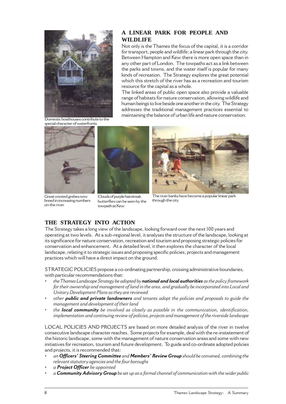

## **A LINEAR PARK FOR PEOPLE AND WILDLIFE**

Not only is the Thames the focus of the capital, it is a corridor for transport, people and wildlife; a linear park through the city. Between Hampton and Kew there is more open space than in any other part of London. The towpaths act as a link between the parks and towns, and the water itself is popular for many kinds of recreation. The Strategy explores the great potential which this stretch of the river has as a recreation and tourism resource for the capital as a whole.

The linked areas of public open space also provide a valuable range of habitats for nature conservation, allowing wildlife and human beings to live beside one another in the city. The Strategy addresses the traditional management practices essential to maintaining the balance of urban life and nature conservation.<br>Domestic boathouses contribute to the

special character of waterfronts



Great crested grebes now breed in increasing numbers on the river



butterflies can be seen by the

towpath at Kew



The river banks have become a popular linear park through the city

# **THE STRATEGY INTO ACTION**

The Strategy takes a long view of the landscape, looking forward over the next 100 years and operating at two levels. At a sub-regional level, it analyses the structure of the landscape, looking at its significance for nature conservation, recreation and tourism and proposing strategic policies for conservation and enhancement. At a detailed level, it then explores the character of the local landscape, relating it to strategic issues and proposing specific policies, projects and management practices which will have a direct impact on the ground.

STRATEGIC POLICIES propose a co-ordinating partnership, crossing administrative boundaries, with particular recommendations that:

- *the Thames Landscape Strategy be adopted by national and local authorities as the policy framework for their ownership and management of land in the area, and gradually be incorporated into Local and Unitary Development Plans as they are reviewed*
- *other public and private landowners and tenants adopt the policies and proposals to guide the management and development of their land*
- *the local community be involved as closely as possible in the communication, identification, implementation and continuing review of policies, projects and management of the riverside landscape*

LOCAL POLICIES AND PROJECTS are based on more detailed analysis of the river in twelve consecutive landscape character reaches. Some projects for example, deal with the re-instatement of the historic landscape, some with the management of nature conservation areas and some with new initiatives for recreation, tourism and future development. To guide and co-ordinate adopted policies and projects, it is recommended that:

- *an Officers' Steering Committee and Members' Review Group should be convened, combining the relevant statutory agencies and the four boroughs*
- *a Project Officer be appointed*
- *a Community Advisory Group be set up as a formal channel of communication with the wider public*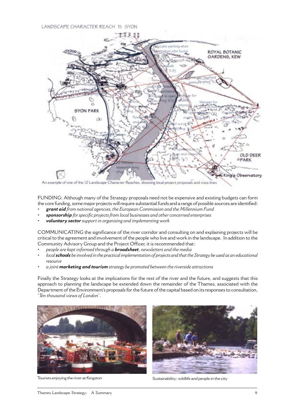## LANDSCAPE CHARACTER REACH 11: SYON



An example of one of the 12 Landscape Character Reaches, showing local project proposals and vista lines

FUNDING: Although many of the Strategy proposals need not be expensive and existing budgets can form the core funding, some major projects will require substantial funds and a range of possible sources are identified:

- *• grant aid from national agencies, the European Commission and the Millennium Fund*
- *• sponsorship for specific projects from local businesses and other concerned enterprises*
- *• voluntary sector support in organising and implementing work*

COMMUNICATING the significance of the river corridor and consulting on and explaining projects will be critical to the agreement and involvement of the people who live and work in the landscape. In addition to the Community Advisory Group and the Project Officer, it is recommended that:

- *people are kept informed through a broadsheet, newsletters and the media*
- *local schools be involved in the practical implementation of projects and that the Strategy be used as an educational resource*
- *a joint marketing and tourism strategy be promoted between the riverside attractions*

Finally the Strategy looks at the implications for the rest of the river and the future, and suggests that this approach to planning the landscape be extended down the remainder of the Thames, associated with the Department of the Environment's proposals for the future of the capital based on its responses to consultation, '*Ten thousand views of London*'.





Tourists enjoying the river at Kingston Sustainability: wildlife and people in the city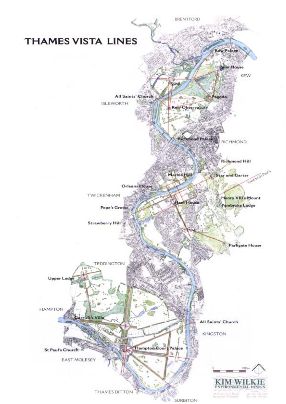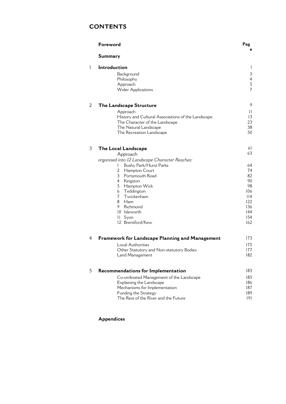# **CONTENTS**

|   | Foreword                                           | Pag                      |
|---|----------------------------------------------------|--------------------------|
|   | <b>Summary</b>                                     | e                        |
| 1 | Introduction                                       | $\mathbf{1}$             |
|   | Background                                         | $\mathfrak{Z}$           |
|   | Philosophy                                         | $\overline{4}$           |
|   | Approach                                           | $\mathbf 5$              |
|   | <b>Wider Applications</b>                          | $\overline{\mathcal{L}}$ |
| 2 |                                                    | 9                        |
|   | The Landscape Structure                            |                          |
|   | Approach                                           | 11                       |
|   | History and Cultural Associations of the Landscape | 13                       |
|   | The Character of the Landscape                     | 23                       |
|   | The Natural Landscape                              | 38                       |
|   | The Recreation Landscape                           | 50                       |
| 3 | The Local Landscape                                | 61                       |
|   | Approach                                           | 63                       |
|   | organised into 12 Landscape Character Reaches:     |                          |
|   | Bushy Park/Hurst Parks<br>I                        | 64                       |
|   | $\overline{2}$<br>Hampton Court                    | 74                       |
|   | 3 Portsmouth Road                                  | 82                       |
|   | 4<br>Kingston                                      | 90                       |
|   | 5<br>Hampton Wick                                  | 98                       |
|   | 6<br>Teddington                                    | 106                      |
|   | $\overline{\mathcal{L}}$<br>Twickenham             | 114                      |
|   | 8<br>Ham                                           | 122                      |
|   | 9.<br>Richmond                                     | 136                      |
|   | 10 Isleworth                                       | 144                      |
|   | Syon<br>11                                         | 154                      |
|   | 12 Brentford/Kew                                   | 162                      |
|   |                                                    |                          |
| 4 | Framework for Landscape Planning and Management    | 173                      |
|   | Local Authorities                                  | 175                      |
|   | Other Statutory and Non-statutory Bodies           | 177                      |
|   | Land Management                                    | 182                      |
|   |                                                    |                          |
| 5 | Recommendations for Implementation                 | 183                      |
|   | Co-ordinated Management of the Landscape           | 185                      |
|   | Explaining the Landscape                           | 186                      |
|   | Mechanisms for Implementation                      | 187                      |
|   | Funding the Strategy                               | 189                      |
|   | The Rest of the River and the Future               | 191                      |
|   |                                                    |                          |

## **Appendices**